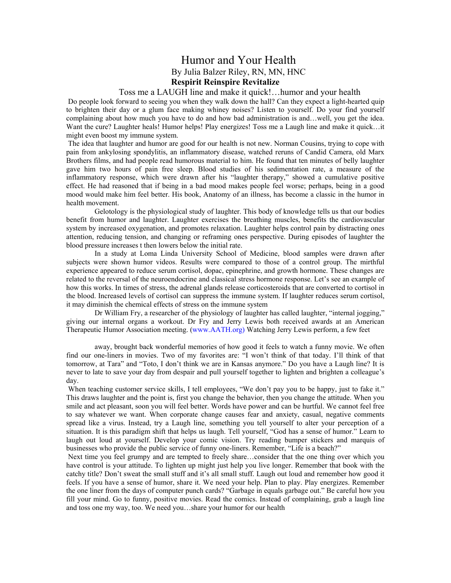## Humor and Your Health By Julia Balzer Riley, RN, MN, HNC **Respirit Reinspire Revitalize**

## Toss me a LAUGH line and make it quick!…humor and your health

 Do people look forward to seeing you when they walk down the hall? Can they expect a light-hearted quip to brighten their day or a glum face making whiney noises? Listen to yourself. Do your find yourself complaining about how much you have to do and how bad administration is and…well, you get the idea. Want the cure? Laughter heals! Humor helps! Play energizes! Toss me a Laugh line and make it quick…it might even boost my immune system.

 The idea that laughter and humor are good for our health is not new. Norman Cousins, trying to cope with pain from ankylosing spondylitis, an inflammatory disease, watched reruns of Candid Camera, old Marx Brothers films, and had people read humorous material to him. He found that ten minutes of belly laughter gave him two hours of pain free sleep. Blood studies of his sedimentation rate, a measure of the inflammatory response, which were drawn after his "laughter therapy," showed a cumulative positive effect. He had reasoned that if being in a bad mood makes people feel worse; perhaps, being in a good mood would make him feel better. His book, Anatomy of an illness, has become a classic in the humor in health movement.

 Gelotology is the physiological study of laughter. This body of knowledge tells us that our bodies benefit from humor and laughter. Laughter exercises the breathing muscles, benefits the cardiovascular system by increased oxygenation, and promotes relaxation. Laughter helps control pain by distracting ones attention, reducing tension, and changing or reframing ones perspective. During episodes of laughter the blood pressure increases t then lowers below the initial rate.

 In a study at Loma Linda University School of Medicine, blood samples were drawn after subjects were shown humor videos. Results were compared to those of a control group. The mirthful experience appeared to reduce serum cortisol, dopac, epinephrine, and growth hormone. These changes are related to the reversal of the neuroendocrine and classical stress hormone response. Let's see an example of how this works. In times of stress, the adrenal glands release corticosteroids that are converted to cortisol in the blood. Increased levels of cortisol can suppress the immune system. If laughter reduces serum cortisol, it may diminish the chemical effects of stress on the immune system

 Dr William Fry, a researcher of the physiology of laughter has called laughter, "internal jogging," giving our internal organs a workout. Dr Fry and Jerry Lewis both received awards at an American Therapeutic Humor Association meeting. (www.AATH.org) Watching Jerry Lewis perform, a few feet

 away, brought back wonderful memories of how good it feels to watch a funny movie. We often find our one-liners in movies. Two of my favorites are: "I won't think of that today. I'll think of that tomorrow, at Tara" and "Toto, I don't think we are in Kansas anymore." Do you have a Laugh line? It is never to late to save your day from despair and pull yourself together to lighten and brighten a colleague's day.

When teaching customer service skills, I tell employees, "We don't pay you to be happy, just to fake it." This draws laughter and the point is, first you change the behavior, then you change the attitude. When you smile and act pleasant, soon you will feel better. Words have power and can be hurtful. We cannot feel free to say whatever we want. When corporate change causes fear and anxiety, casual, negative comments spread like a virus. Instead, try a Laugh line, something you tell yourself to alter your perception of a situation. It is this paradigm shift that helps us laugh. Tell yourself, "God has a sense of humor." Learn to laugh out loud at yourself. Develop your comic vision. Try reading bumper stickers and marquis of businesses who provide the public service of funny one-liners. Remember, "Life is a beach?"

 Next time you feel grumpy and are tempted to freely share…consider that the one thing over which you have control is your attitude. To lighten up might just help you live longer. Remember that book with the catchy title? Don't sweat the small stuff and it's all small stuff. Laugh out loud and remember how good it feels. If you have a sense of humor, share it. We need your help. Plan to play. Play energizes. Remember the one liner from the days of computer punch cards? "Garbage in equals garbage out." Be careful how you fill your mind. Go to funny, positive movies. Read the comics. Instead of complaining, grab a laugh line and toss one my way, too. We need you…share your humor for our health